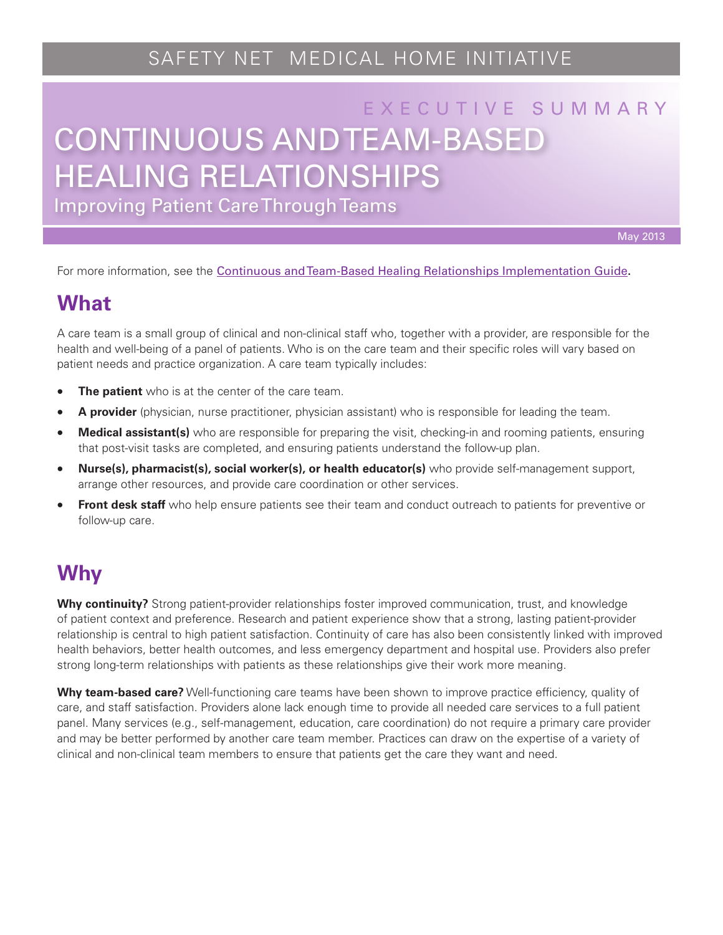# SAFETY NET MEDICAL HOME INITIATIVE

# CONTINUOUS AND TEAM-BASED E X E C U T I V E S U M M A R Y HEALING RELATIONSHIPS

Improving Patient Care Through Teams

May 2013

For more information, see the [Continuous and Team-Based Healing Relationships Implementation Guide.](http://www.safetynetmedicalhome.org/sites/default/files/Implementation-Guide-Team-Based-Care.pdf)

#### **What**

A care team is a small group of clinical and non-clinical staff who, together with a provider, are responsible for the health and well-being of a panel of patients. Who is on the care team and their specific roles will vary based on patient needs and practice organization. A care team typically includes:

- **The patient** who is at the center of the care team.
- • **A provider** (physician, nurse practitioner, physician assistant) who is responsible for leading the team.
- **Medical assistant(s)** who are responsible for preparing the visit, checking-in and rooming patients, ensuring that post-visit tasks are completed, and ensuring patients understand the follow-up plan.
- • **Nurse(s), pharmacist(s), social worker(s), or health educator(s)** who provide self-management support, arrange other resources, and provide care coordination or other services.
- **Front desk staff** who help ensure patients see their team and conduct outreach to patients for preventive or follow-up care.

## **Why**

**Why continuity?** Strong patient-provider relationships foster improved communication, trust, and knowledge of patient context and preference. Research and patient experience show that a strong, lasting patient-provider relationship is central to high patient satisfaction. Continuity of care has also been consistently linked with improved health behaviors, better health outcomes, and less emergency department and hospital use. Providers also prefer strong long-term relationships with patients as these relationships give their work more meaning.

**Why team-based care?** Well-functioning care teams have been shown to improve practice efficiency, quality of care, and staff satisfaction. Providers alone lack enough time to provide all needed care services to a full patient panel. Many services (e.g., self-management, education, care coordination) do not require a primary care provider and may be better performed by another care team member. Practices can draw on the expertise of a variety of clinical and non-clinical team members to ensure that patients get the care they want and need.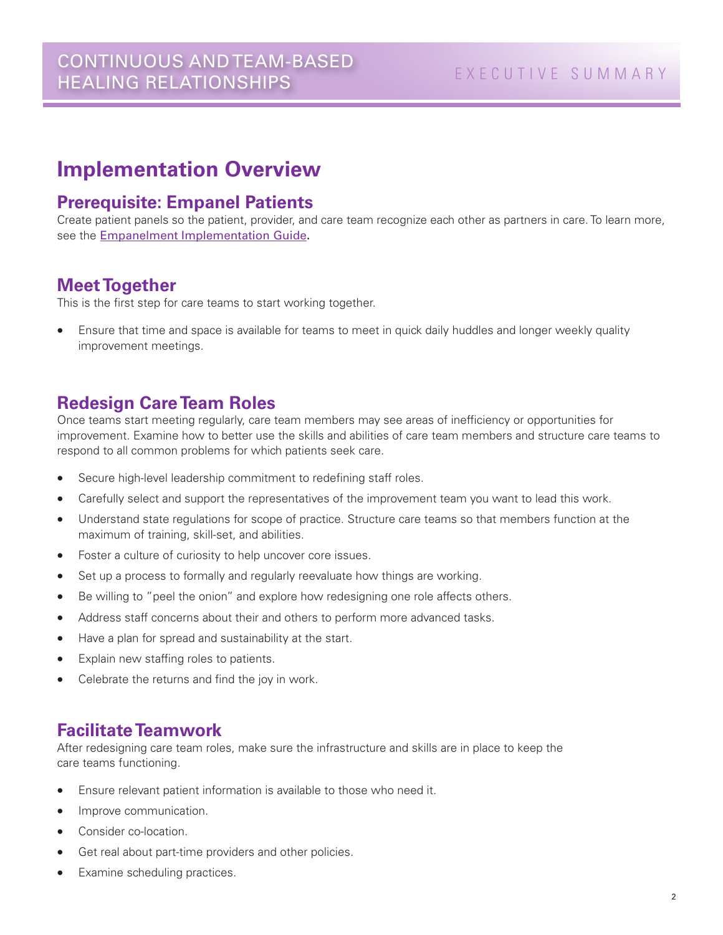## **Implementation Overview**

#### **Prerequisite: Empanel Patients**

Create patient panels so the patient, provider, and care team recognize each other as partners in care. To learn more, see the [Empanelment Implementation Guide.](http://www.safetynetmedicalhome.org/sites/default/files/Implementation-Guide-Empanelment.pdf)

#### **Meet Together**

This is the first step for care teams to start working together.

Ensure that time and space is available for teams to meet in quick daily huddles and longer weekly quality improvement meetings.

#### **Redesign Care Team Roles**

Once teams start meeting regularly, care team members may see areas of inefficiency or opportunities for improvement. Examine how to better use the skills and abilities of care team members and structure care teams to respond to all common problems for which patients seek care.

- Secure high-level leadership commitment to redefining staff roles.
- Carefully select and support the representatives of the improvement team you want to lead this work.
- Understand state regulations for scope of practice. Structure care teams so that members function at the maximum of training, skill-set, and abilities.
- Foster a culture of curiosity to help uncover core issues.
- Set up a process to formally and regularly reevaluate how things are working.
- Be willing to "peel the onion" and explore how redesigning one role affects others.
- Address staff concerns about their and others to perform more advanced tasks.
- Have a plan for spread and sustainability at the start.
- Explain new staffing roles to patients.
- Celebrate the returns and find the joy in work.

#### **Facilitate Teamwork**

After redesigning care team roles, make sure the infrastructure and skills are in place to keep the care teams functioning.

- Ensure relevant patient information is available to those who need it.
- Improve communication.
- Consider co-location.
- Get real about part-time providers and other policies.
- Examine scheduling practices.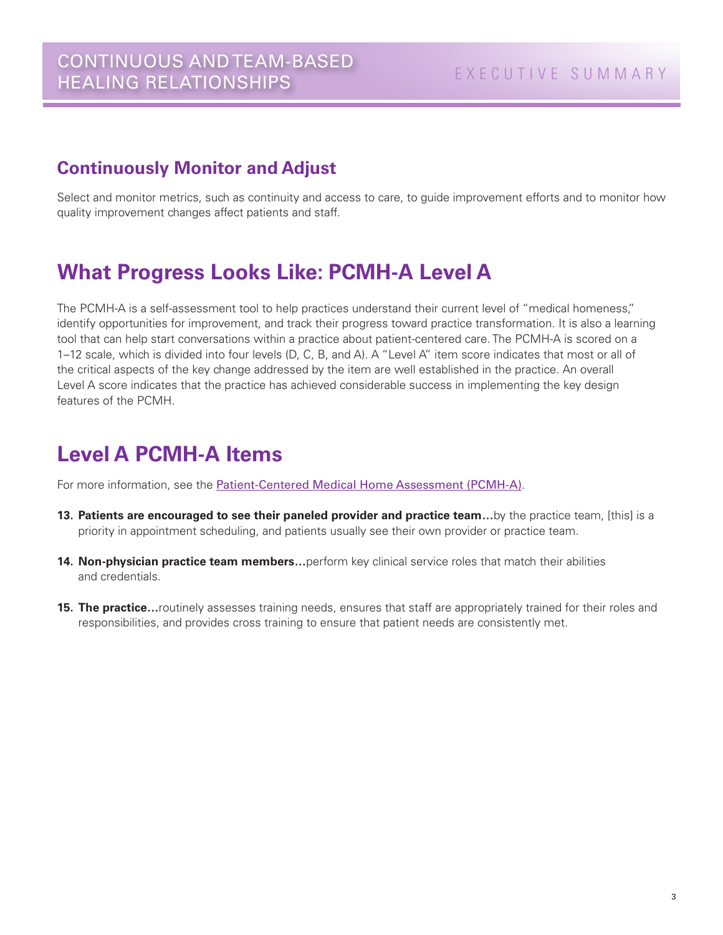#### **Continuously Monitor and Adjust**

Select and monitor metrics, such as continuity and access to care, to guide improvement efforts and to monitor how quality improvement changes affect patients and staff.

## **What Progress Looks Like: PCMH-A Level A**

The PCMH-A is a self-assessment tool to help practices understand their current level of "medical homeness," identify opportunities for improvement, and track their progress toward practice transformation. It is also a learning tool that can help start conversations within a practice about patient-centered care. The PCMH-A is scored on a 1–12 scale, which is divided into four levels (D, C, B, and A). A "Level A" item score indicates that most or all of the critical aspects of the key change addressed by the item are well established in the practice. An overall Level A score indicates that the practice has achieved considerable success in implementing the key design features of the PCMH.

## **Level A PCMH-A Items**

For more information, see the [Patient-Centered Medical Home Assessment \(PCMH-A\)](http://www.safetynetmedicalhome.org/sites/default/files/PCMH-A.pdf).

- **13. Patients are encouraged to see their paneled provider and practice team…**by the practice team, [this] is a priority in appointment scheduling, and patients usually see their own provider or practice team.
- **14. Non-physician practice team members…**perform key clinical service roles that match their abilities and credentials.
- **15. The practice...** routinely assesses training needs, ensures that staff are appropriately trained for their roles and responsibilities, and provides cross training to ensure that patient needs are consistently met.